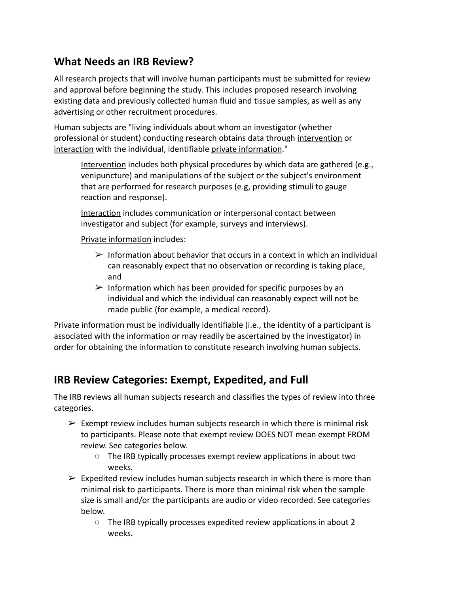### **What Needs an IRB Review?**

All research projects that will involve human participants must be submitted for review and approval before beginning the study. This includes proposed research involving existing data and previously collected human fluid and tissue samples, as well as any advertising or other recruitment procedures.

Human subjects are "living individuals about whom an investigator (whether professional or student) conducting research obtains data through intervention or interaction with the individual, identifiable private information."

Intervention includes both physical procedures by which data are gathered (e.g., venipuncture) and manipulations of the subject or the subject's environment that are performed for research purposes (e.g, providing stimuli to gauge reaction and response).

Interaction includes communication or interpersonal contact between investigator and subject (for example, surveys and interviews).

Private information includes:

- $\triangleright$  Information about behavior that occurs in a context in which an individual can reasonably expect that no observation or recording is taking place, and
- $\triangleright$  Information which has been provided for specific purposes by an individual and which the individual can reasonably expect will not be made public (for example, a medical record).

Private information must be individually identifiable (i.e., the identity of a participant is associated with the information or may readily be ascertained by the investigator) in order for obtaining the information to constitute research involving human subjects.

## **IRB Review Categories: Exempt, Expedited, and Full**

The IRB reviews all human subjects research and classifies the types of review into three categories.

- $\triangleright$  Exempt review includes human subjects research in which there is minimal risk to participants. Please note that exempt review DOES NOT mean exempt FROM review. See categories below.
	- The IRB typically processes exempt review applications in about two weeks.
- $\triangleright$  Expedited review includes human subjects research in which there is more than minimal risk to participants. There is more than minimal risk when the sample size is small and/or the participants are audio or video recorded. See categories below.
	- The IRB typically processes expedited review applications in about 2 weeks.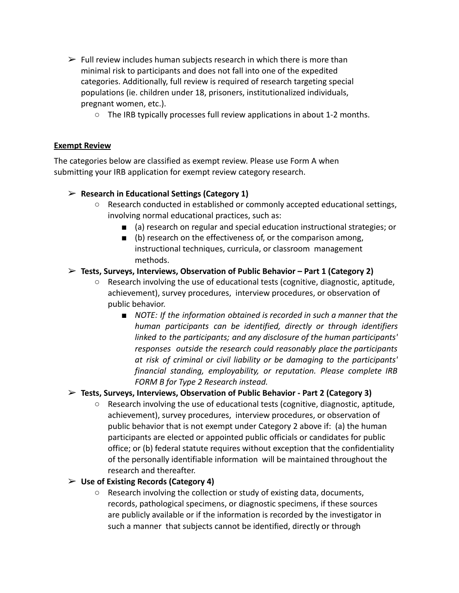- $\triangleright$  Full review includes human subjects research in which there is more than minimal risk to participants and does not fall into one of the expedited categories. Additionally, full review is required of research targeting special populations (ie. children under 18, prisoners, institutionalized individuals, pregnant women, etc.).
	- The IRB typically processes full review applications in about 1-2 months.

#### **Exempt Review**

The categories below are classified as exempt review. Please use Form A when submitting your IRB application for exempt review category research.

#### ➢ **Research in Educational Settings (Category 1)**

- Research conducted in established or commonly accepted educational settings, involving normal educational practices, such as:
	- (a) research on regular and special education instructional strategies; or
	- (b) research on the effectiveness of, or the comparison among, instructional techniques, curricula, or classroom management methods.

#### ➢ **Tests, Surveys, Interviews, Observation of Public Behavior – Part 1 (Category 2)**

- Research involving the use of educational tests (cognitive, diagnostic, aptitude, achievement), survey procedures, interview procedures, or observation of public behavior.
	- *NOTE: If the information obtained is recorded in such a manner that the human participants can be identified, directly or through identifiers linked to the participants; and any disclosure of the human participants' responses outside the research could reasonably place the participants at risk of criminal or civil liability or be damaging to the participants' financial standing, employability, or reputation. Please complete IRB FORM B for Type 2 Research instead.*

#### ➢ **Tests, Surveys, Interviews, Observation of Public Behavior - Part 2 (Category 3)**

 $\circ$  Research involving the use of educational tests (cognitive, diagnostic, aptitude, achievement), survey procedures, interview procedures, or observation of public behavior that is not exempt under Category 2 above if: (a) the human participants are elected or appointed public officials or candidates for public office; or (b) federal statute requires without exception that the confidentiality of the personally identifiable information will be maintained throughout the research and thereafter.

#### ➢ **Use of Existing Records (Category 4)**

○ Research involving the collection or study of existing data, documents, records, pathological specimens, or diagnostic specimens, if these sources are publicly available or if the information is recorded by the investigator in such a manner that subjects cannot be identified, directly or through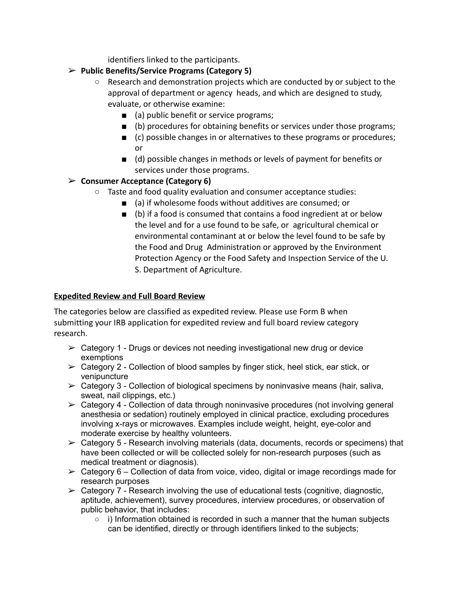identifiers linked to the participants.

### ➢ **Public Benefits/Service Programs (Category 5)**

- Research and demonstration projects which are conducted by or subject to the approval of department or agency heads, and which are designed to study, evaluate, or otherwise examine:
	- (a) public benefit or service programs;
	- (b) procedures for obtaining benefits or services under those programs;
	- (c) possible changes in or alternatives to these programs or procedures; or
	- (d) possible changes in methods or levels of payment for benefits or services under those programs.

#### ➢ **Consumer Acceptance (Category 6)**

- $\circ$  Taste and food quality evaluation and consumer acceptance studies:
	- (a) if wholesome foods without additives are consumed; or
	- (b) if a food is consumed that contains a food ingredient at or below the level and for a use found to be safe, or agricultural chemical or environmental contaminant at or below the level found to be safe by the Food and Drug Administration or approved by the Environment Protection Agency or the Food Safety and Inspection Service of the U. S. Department of Agriculture.

#### **Expedited Review and Full Board Review**

The categories below are classified as expedited review. Please use Form B when submitting your IRB application for expedited review and full board review category research.

- $\geq$  Category 1 Drugs or devices not needing investigational new drug or device exemptions
- $\triangleright$  Category 2 Collection of blood samples by finger stick, heel stick, ear stick, or venipuncture
- $\triangleright$  Category 3 Collection of biological specimens by noninvasive means (hair, saliva, sweat, nail clippings, etc.)
- $\geq$  Category 4 Collection of data through noninvasive procedures (not involving general anesthesia or sedation) routinely employed in clinical practice, excluding procedures involving x-rays or microwaves. Examples include weight, height, eye-color and moderate exercise by healthy volunteers.
- $\geq$  Category 5 Research involving materials (data, documents, records or specimens) that have been collected or will be collected solely for non-research purposes (such as medical treatment or diagnosis).
- $\triangleright$  Category 6 Collection of data from voice, video, digital or image recordings made for research purposes
- $\triangleright$  Category 7 Research involving the use of educational tests (cognitive, diagnostic, aptitude, achievement), survey procedures, interview procedures, or observation of public behavior, that includes:
	- i) Information obtained is recorded in such a manner that the human subjects can be identified, directly or through identifiers linked to the subjects;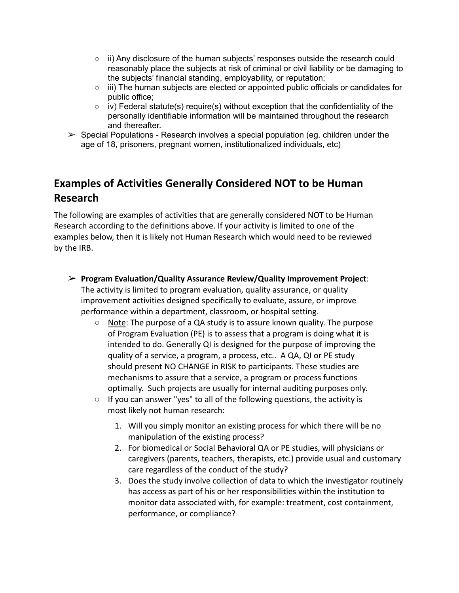- $\circ$  ii) Any disclosure of the human subjects' responses outside the research could reasonably place the subjects at risk of criminal or civil liability or be damaging to the subjects' financial standing, employability, or reputation;
- $\circ$  iii) The human subjects are elected or appointed public officials or candidates for public office;
- $\circ$  iv) Federal statute(s) require(s) without exception that the confidentiality of the personally identifiable information will be maintained throughout the research and thereafter.
- $\triangleright$  Special Populations Research involves a special population (eq. children under the age of 18, prisoners, pregnant women, institutionalized individuals, etc)

# **Examples of Activities Generally Considered NOT to be Human Research**

The following are examples of activities that are generally considered NOT to be Human Research according to the definitions above. If your activity is limited to one of the examples below, then it is likely not Human Research which would need to be reviewed by the IRB.

- ➢ **Program Evaluation/Quality Assurance Review/Quality Improvement Project**: The activity is limited to program evaluation, quality assurance, or quality improvement activities designed specifically to evaluate, assure, or improve performance within a department, classroom, or hospital setting.
	- Note: The purpose of a QA study is to assure known quality. The purpose of Program Evaluation (PE) is to assess that a program is doing what it is intended to do. Generally QI is designed for the purpose of improving the quality of a service, a program, a process, etc.. A QA, QI or PE study should present NO CHANGE in RISK to participants. These studies are mechanisms to assure that a service, a program or process functions optimally. Such projects are usually for internal auditing purposes only.
	- If you can answer "yes" to all of the following questions, the activity is most likely not human research:
		- 1. Will you simply monitor an existing process for which there will be no manipulation of the existing process?
		- 2. For biomedical or Social Behavioral QA or PE studies, will physicians or caregivers (parents, teachers, therapists, etc.) provide usual and customary care regardless of the conduct of the study?
		- 3. Does the study involve collection of data to which the investigator routinely has access as part of his or her responsibilities within the institution to monitor data associated with, for example: treatment, cost containment, performance, or compliance?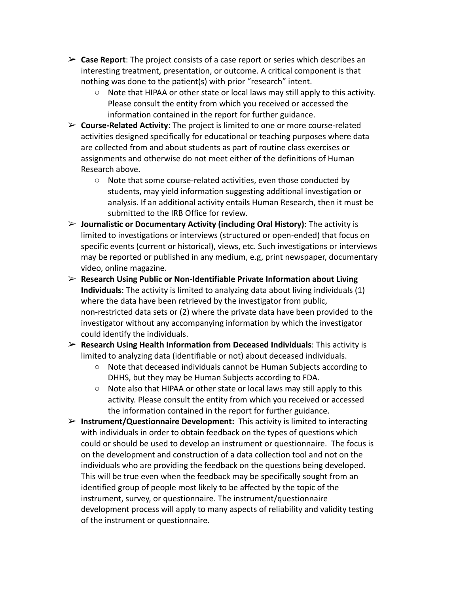- ➢ **Case Report**: The project consists of a case report or series which describes an interesting treatment, presentation, or outcome. A critical component is that nothing was done to the patient(s) with prior "research" intent.
	- Note that HIPAA or other state or local laws may still apply to this activity. Please consult the entity from which you received or accessed the information contained in the report for further guidance.
- ➢ **Course-Related Activity**: The project is limited to one or more course-related activities designed specifically for educational or teaching purposes where data are collected from and about students as part of routine class exercises or assignments and otherwise do not meet either of the definitions of Human Research above.
	- Note that some course-related activities, even those conducted by students, may yield information suggesting additional investigation or analysis. If an additional activity entails Human Research, then it must be submitted to the IRB Office for review.
- ➢ **Journalistic or Documentary Activity (including Oral History)**: The activity is limited to investigations or interviews (structured or open-ended) that focus on specific events (current or historical), views, etc. Such investigations or interviews may be reported or published in any medium, e.g, print newspaper, documentary video, online magazine.
- ➢ **Research Using Public or Non-Identifiable Private Information about Living Individuals**: The activity is limited to analyzing data about living individuals (1) where the data have been retrieved by the investigator from public, non-restricted data sets or (2) where the private data have been provided to the investigator without any accompanying information by which the investigator could identify the individuals.
- ➢ **Research Using Health Information from Deceased Individuals**: This activity is limited to analyzing data (identifiable or not) about deceased individuals.
	- Note that deceased individuals cannot be Human Subjects according to DHHS, but they may be Human Subjects according to FDA.
	- Note also that HIPAA or other state or local laws may still apply to this activity. Please consult the entity from which you received or accessed the information contained in the report for further guidance.
- ➢ **Instrument/Questionnaire Development:** This activity is limited to interacting with individuals in order to obtain feedback on the types of questions which could or should be used to develop an instrument or questionnaire. The focus is on the development and construction of a data collection tool and not on the individuals who are providing the feedback on the questions being developed. This will be true even when the feedback may be specifically sought from an identified group of people most likely to be affected by the topic of the instrument, survey, or questionnaire. The instrument/questionnaire development process will apply to many aspects of reliability and validity testing of the instrument or questionnaire.